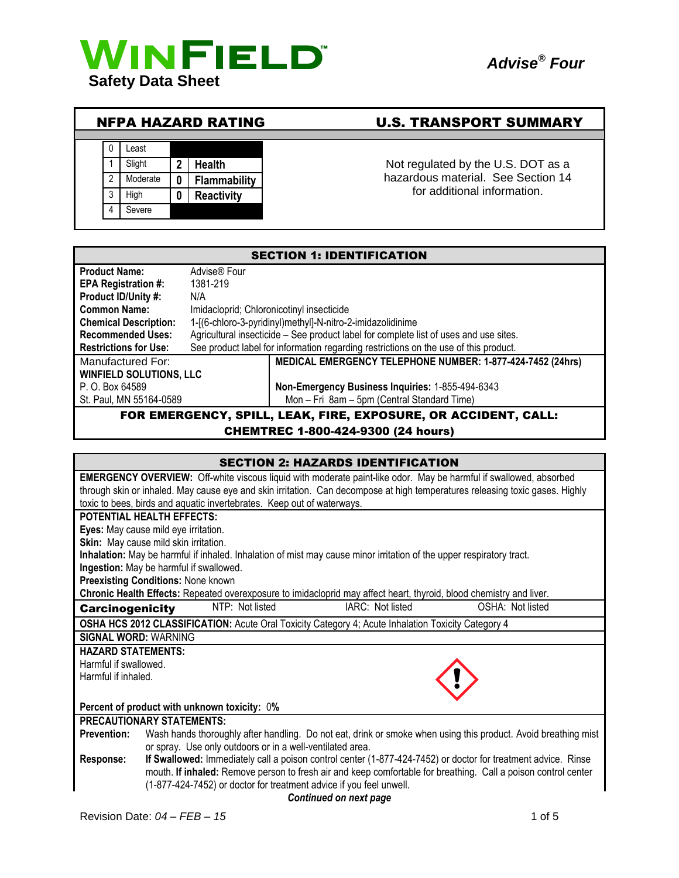





# NFPA HAZARD RATING U.S. TRANSPORT SUMMARY

1 Slight 2 **Health 1** Not regulated by the U.S. DOT as a hazardous material. See Section 14 for additional information.

| <b>SECTION 1: IDENTIFICATION</b> |                                                                                       |                                                                                      |
|----------------------------------|---------------------------------------------------------------------------------------|--------------------------------------------------------------------------------------|
| <b>Product Name:</b>             | Advise® Four                                                                          |                                                                                      |
| <b>EPA Registration #:</b>       | 1381-219                                                                              |                                                                                      |
| Product ID/Unity #:              | N/A                                                                                   |                                                                                      |
| <b>Common Name:</b>              | Imidacloprid; Chloronicotinyl insecticide                                             |                                                                                      |
| <b>Chemical Description:</b>     | 1-[(6-chloro-3-pyridinyl)methyl]-N-nitro-2-imidazolidinime                            |                                                                                      |
| <b>Recommended Uses:</b>         | Agricultural insecticide – See product label for complete list of uses and use sites. |                                                                                      |
| <b>Restrictions for Use:</b>     |                                                                                       | See product label for information regarding restrictions on the use of this product. |
| Manufactured For:                |                                                                                       | MEDICAL EMERGENCY TELEPHONE NUMBER: 1-877-424-7452 (24hrs)                           |
| <b>WINFIELD SOLUTIONS, LLC</b>   |                                                                                       |                                                                                      |
| P. O. Box 64589                  |                                                                                       | Non-Emergency Business Inquiries: 1-855-494-6343                                     |
| St. Paul, MN 55164-0589          |                                                                                       | Mon - Fri 8am - 5pm (Central Standard Time)                                          |
|                                  |                                                                                       | FOR EMERGENCY, SPILL, LEAK, FIRE, EXPOSURE, OR ACCIDENT, CALL:                       |

#### CHEMTREC 1-800-424-9300 (24 hours)

| <b>SECTION 2: HAZARDS IDENTIFICATION</b>                                                                                             |  |
|--------------------------------------------------------------------------------------------------------------------------------------|--|
| <b>EMERGENCY OVERVIEW:</b> Off-white viscous liquid with moderate paint-like odor. May be harmful if swallowed, absorbed             |  |
| through skin or inhaled. May cause eye and skin irritation. Can decompose at high temperatures releasing toxic gases. Highly         |  |
| toxic to bees, birds and aquatic invertebrates. Keep out of waterways.                                                               |  |
| <b>POTENTIAL HEALTH EFFECTS:</b>                                                                                                     |  |
| Eyes: May cause mild eye irritation.                                                                                                 |  |
| Skin: May cause mild skin irritation.                                                                                                |  |
| Inhalation: May be harmful if inhaled. Inhalation of mist may cause minor irritation of the upper respiratory tract.                 |  |
| Ingestion: May be harmful if swallowed.                                                                                              |  |
| <b>Preexisting Conditions: None known</b>                                                                                            |  |
| Chronic Health Effects: Repeated overexposure to imidacloprid may affect heart, thyroid, blood chemistry and liver.                  |  |
| NTP: Not listed<br>IARC: Not listed<br>OSHA: Not listed<br><b>Carcinogenicity</b>                                                    |  |
| OSHA HCS 2012 CLASSIFICATION: Acute Oral Toxicity Category 4; Acute Inhalation Toxicity Category 4                                   |  |
| <b>SIGNAL WORD: WARNING</b>                                                                                                          |  |
| <b>HAZARD STATEMENTS:</b>                                                                                                            |  |
| Harmful if swallowed.                                                                                                                |  |
| Harmful if inhaled.                                                                                                                  |  |
|                                                                                                                                      |  |
| Percent of product with unknown toxicity: 0%                                                                                         |  |
| <b>PRECAUTIONARY STATEMENTS:</b>                                                                                                     |  |
| Wash hands thoroughly after handling. Do not eat, drink or smoke when using this product. Avoid breathing mist<br><b>Prevention:</b> |  |
| or spray. Use only outdoors or in a well-ventilated area.                                                                            |  |
| If Swallowed: Immediately call a poison control center (1-877-424-7452) or doctor for treatment advice. Rinse<br><b>Response:</b>    |  |
| mouth. If inhaled: Remove person to fresh air and keep comfortable for breathing. Call a poison control center                       |  |
| (1-877-424-7452) or doctor for treatment advice if you feel unwell.                                                                  |  |
| Continued on next page                                                                                                               |  |
|                                                                                                                                      |  |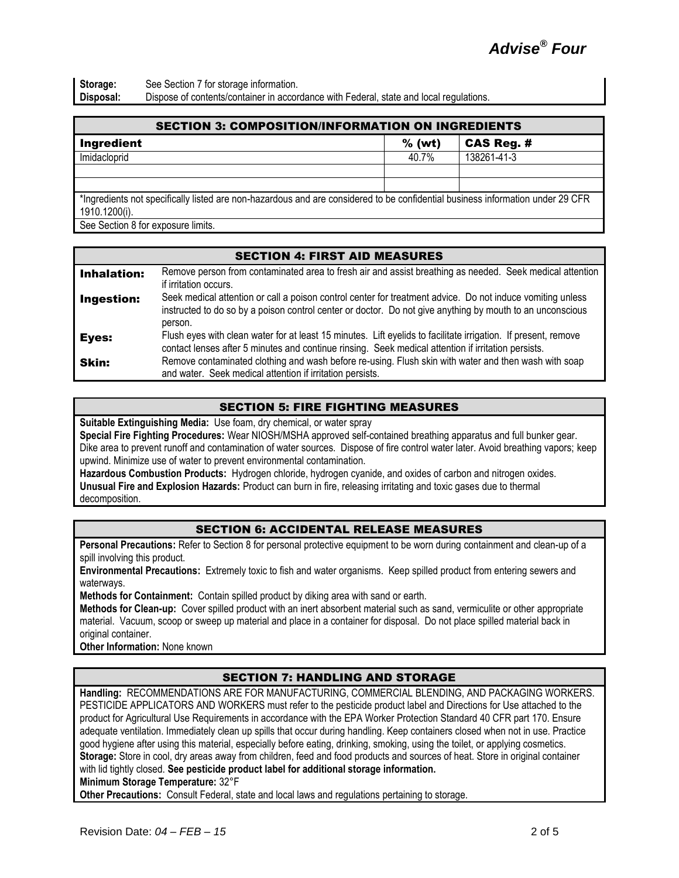**Storage:** See Section 7 for storage information. **Disposal:** Dispose of contents/container in accordance with Federal, state and local regulations.

| <b>SECTION 3: COMPOSITION/INFORMATION ON INGREDIENTS</b>                                                                       |          |             |  |
|--------------------------------------------------------------------------------------------------------------------------------|----------|-------------|--|
| <b>Ingredient</b>                                                                                                              | $%$ (wt) | CAS Reg. #  |  |
| Imidacloprid                                                                                                                   | 40.7%    | 138261-41-3 |  |
|                                                                                                                                |          |             |  |
|                                                                                                                                |          |             |  |
| *Ingredients not specifically listed are non-bazardous and are considered to be confidential business information under 29 CER |          |             |  |

\*Ingredients not specifically listed are non-hazardous and are considered to be confidential business information under 29 CFR 1910.1200(i).

See Section 8 for exposure limits.

#### SECTION 4: FIRST AID MEASURES

| <b>Inhalation:</b> | Remove person from contaminated area to fresh air and assist breathing as needed. Seek medical attention<br>if irritation occurs.                                                                                                  |
|--------------------|------------------------------------------------------------------------------------------------------------------------------------------------------------------------------------------------------------------------------------|
| Ingestion:         | Seek medical attention or call a poison control center for treatment advice. Do not induce vomiting unless<br>instructed to do so by a poison control center or doctor. Do not give anything by mouth to an unconscious<br>person. |
| Eyes:              | Flush eyes with clean water for at least 15 minutes. Lift eyelids to facilitate irrigation. If present, remove<br>contact lenses after 5 minutes and continue rinsing. Seek medical attention if irritation persists.              |
| Skin:              | Remove contaminated clothing and wash before re-using. Flush skin with water and then wash with soap<br>and water. Seek medical attention if irritation persists.                                                                  |

#### SECTION 5: FIRE FIGHTING MEASURES

**Suitable Extinguishing Media:** Use foam, dry chemical, or water spray

**Special Fire Fighting Procedures:** Wear NIOSH/MSHA approved self-contained breathing apparatus and full bunker gear. Dike area to prevent runoff and contamination of water sources. Dispose of fire control water later. Avoid breathing vapors; keep upwind. Minimize use of water to prevent environmental contamination.

**Hazardous Combustion Products:** Hydrogen chloride, hydrogen cyanide, and oxides of carbon and nitrogen oxides. **Unusual Fire and Explosion Hazards:** Product can burn in fire, releasing irritating and toxic gases due to thermal decomposition.

## SECTION 6: ACCIDENTAL RELEASE MEASURES

**Personal Precautions:** Refer to Section 8 for personal protective equipment to be worn during containment and clean-up of a spill involving this product.

**Environmental Precautions:** Extremely toxic to fish and water organisms. Keep spilled product from entering sewers and waterways.

**Methods for Containment:** Contain spilled product by diking area with sand or earth.

**Methods for Clean-up:** Cover spilled product with an inert absorbent material such as sand, vermiculite or other appropriate material. Vacuum, scoop or sweep up material and place in a container for disposal. Do not place spilled material back in original container.

**Other Information:** None known

## SECTION 7: HANDLING AND STORAGE

**Handling:** RECOMMENDATIONS ARE FOR MANUFACTURING, COMMERCIAL BLENDING, AND PACKAGING WORKERS. PESTICIDE APPLICATORS AND WORKERS must refer to the pesticide product label and Directions for Use attached to the product for Agricultural Use Requirements in accordance with the EPA Worker Protection Standard 40 CFR part 170. Ensure adequate ventilation. Immediately clean up spills that occur during handling. Keep containers closed when not in use. Practice good hygiene after using this material, especially before eating, drinking, smoking, using the toilet, or applying cosmetics. **Storage:** Store in cool, dry areas away from children, feed and food products and sources of heat. Store in original container with lid tightly closed. **See pesticide product label for additional storage information.**

**Minimum Storage Temperature:** 32°F

**Other Precautions:** Consult Federal, state and local laws and regulations pertaining to storage.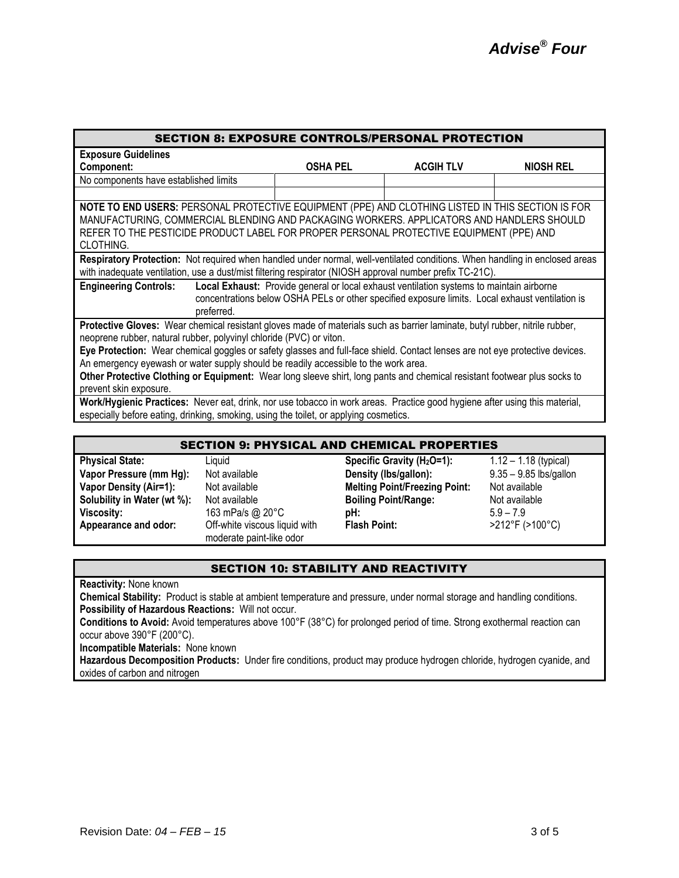| <b>SECTION 8: EXPOSURE CONTROLS/PERSONAL PROTECTION</b>                                                                                                                                                                                                                                                                                                                                                                                                                                                                                                                         |                 |                                                                                                                                                                                             |           |
|---------------------------------------------------------------------------------------------------------------------------------------------------------------------------------------------------------------------------------------------------------------------------------------------------------------------------------------------------------------------------------------------------------------------------------------------------------------------------------------------------------------------------------------------------------------------------------|-----------------|---------------------------------------------------------------------------------------------------------------------------------------------------------------------------------------------|-----------|
| <b>Exposure Guidelines</b>                                                                                                                                                                                                                                                                                                                                                                                                                                                                                                                                                      |                 |                                                                                                                                                                                             |           |
| Component:                                                                                                                                                                                                                                                                                                                                                                                                                                                                                                                                                                      | <b>OSHA PEL</b> | <b>ACGIH TLV</b>                                                                                                                                                                            | NIOSH REL |
| No components have established limits                                                                                                                                                                                                                                                                                                                                                                                                                                                                                                                                           |                 |                                                                                                                                                                                             |           |
|                                                                                                                                                                                                                                                                                                                                                                                                                                                                                                                                                                                 |                 |                                                                                                                                                                                             |           |
| NOTE TO END USERS: PERSONAL PROTECTIVE EQUIPMENT (PPE) AND CLOTHING LISTED IN THIS SECTION IS FOR<br>MANUFACTURING, COMMERCIAL BLENDING AND PACKAGING WORKERS. APPLICATORS AND HANDLERS SHOULD<br>REFER TO THE PESTICIDE PRODUCT LABEL FOR PROPER PERSONAL PROTECTIVE EQUIPMENT (PPE) AND<br>CLOTHING.                                                                                                                                                                                                                                                                          |                 |                                                                                                                                                                                             |           |
| Respiratory Protection: Not required when handled under normal, well-ventilated conditions. When handling in enclosed areas<br>with inadequate ventilation, use a dust/mist filtering respirator (NIOSH approval number prefix TC-21C).                                                                                                                                                                                                                                                                                                                                         |                 |                                                                                                                                                                                             |           |
| <b>Engineering Controls:</b><br>preferred.                                                                                                                                                                                                                                                                                                                                                                                                                                                                                                                                      |                 | Local Exhaust: Provide general or local exhaust ventilation systems to maintain airborne<br>concentrations below OSHA PELs or other specified exposure limits. Local exhaust ventilation is |           |
| Protective Gloves: Wear chemical resistant gloves made of materials such as barrier laminate, butyl rubber, nitrile rubber,<br>neoprene rubber, natural rubber, polyvinyl chloride (PVC) or viton.<br>Eye Protection: Wear chemical goggles or safety glasses and full-face shield. Contact lenses are not eye protective devices.<br>An emergency eyewash or water supply should be readily accessible to the work area.<br>Other Protective Clothing or Equipment: Wear long sleeve shirt, long pants and chemical resistant footwear plus socks to<br>prevent skin exposure. |                 |                                                                                                                                                                                             |           |
| Work/Hygienic Practices: Never eat, drink, nor use tobacco in work areas. Practice good hygiene after using this material,<br>especially before eating, drinking, smoking, using the toilet, or applying cosmetics.                                                                                                                                                                                                                                                                                                                                                             |                 |                                                                                                                                                                                             |           |

| <b>SECTION 9: PHYSICAL AND CHEMICAL PROPERTIES</b> |                                                           |                                        |                          |
|----------------------------------------------------|-----------------------------------------------------------|----------------------------------------|--------------------------|
| <b>Physical State:</b>                             | Liquid                                                    | Specific Gravity (H <sub>2</sub> O=1): | $1.12 - 1.18$ (typical)  |
| Vapor Pressure (mm Hg):                            | Not available                                             | Density (Ibs/gallon):                  | $9.35 - 9.85$ lbs/gallon |
| <b>Vapor Density (Air=1):</b>                      | Not available                                             | <b>Melting Point/Freezing Point:</b>   | Not available            |
| Solubility in Water (wt %):                        | Not available                                             | <b>Boiling Point/Range:</b>            | Not available            |
| <b>Viscosity:</b>                                  | 163 mPa/s @ 20°C                                          | pH:                                    | $5.9 - 7.9$              |
| Appearance and odor:                               | Off-white viscous liquid with<br>moderate paint-like odor | <b>Flash Point:</b>                    | >212°F (>100°C)          |

#### SECTION 10: STABILITY AND REACTIVITY

**Reactivity:** None known

**Chemical Stability:** Product is stable at ambient temperature and pressure, under normal storage and handling conditions. **Possibility of Hazardous Reactions:** Will not occur.

**Conditions to Avoid:** Avoid temperatures above 100°F (38°C) for prolonged period of time. Strong exothermal reaction can occur above 390°F (200°C).

**Incompatible Materials:** None known

**Hazardous Decomposition Products:** Under fire conditions, product may produce hydrogen chloride, hydrogen cyanide, and oxides of carbon and nitrogen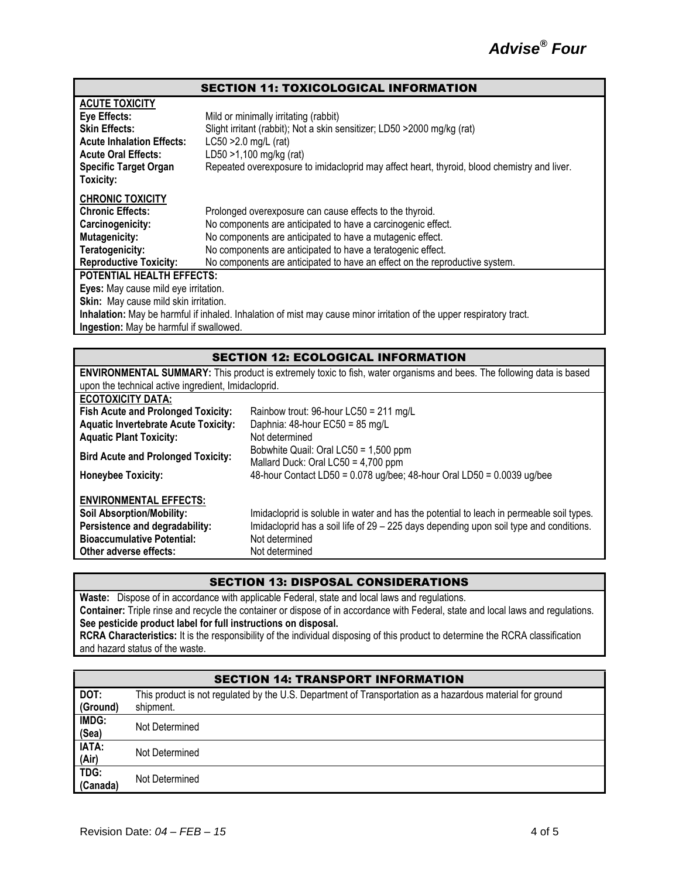#### SECTION 11: TOXICOLOGICAL INFORMATION

| <b>ACUTE TOXICITY</b>                   |                                                                                                                      |
|-----------------------------------------|----------------------------------------------------------------------------------------------------------------------|
| Eye Effects:                            | Mild or minimally irritating (rabbit)                                                                                |
| <b>Skin Effects:</b>                    | Slight irritant (rabbit); Not a skin sensitizer; LD50 >2000 mg/kg (rat)                                              |
| <b>Acute Inhalation Effects:</b>        | $LC50 > 2.0$ mg/L (rat)                                                                                              |
| <b>Acute Oral Effects:</b>              | LD50 >1,100 mg/kg (rat)                                                                                              |
| <b>Specific Target Organ</b>            | Repeated overexposure to imidacloprid may affect heart, thyroid, blood chemistry and liver.                          |
| Toxicity:                               |                                                                                                                      |
| <b>CHRONIC TOXICITY</b>                 |                                                                                                                      |
| <b>Chronic Effects:</b>                 | Prolonged overexposure can cause effects to the thyroid.                                                             |
| Carcinogenicity:                        | No components are anticipated to have a carcinogenic effect.                                                         |
| <b>Mutagenicity:</b>                    | No components are anticipated to have a mutagenic effect.                                                            |
| Teratogenicity:                         | No components are anticipated to have a teratogenic effect.                                                          |
| <b>Reproductive Toxicity:</b>           | No components are anticipated to have an effect on the reproductive system.                                          |
| <b>POTENTIAL HEALTH EFFECTS:</b>        |                                                                                                                      |
| Eyes: May cause mild eye irritation.    |                                                                                                                      |
| Skin: May cause mild skin irritation.   |                                                                                                                      |
|                                         | Inhalation: May be harmful if inhaled. Inhalation of mist may cause minor irritation of the upper respiratory tract. |
| Ingestion: May be harmful if swallowed. |                                                                                                                      |

#### SECTION 12: ECOLOGICAL INFORMATION

| <b>ENVIRONMENTAL SUMMARY:</b> This product is extremely toxic to fish, water organisms and bees. The following data is based |                                                                                          |  |
|------------------------------------------------------------------------------------------------------------------------------|------------------------------------------------------------------------------------------|--|
| upon the technical active ingredient, Imidacloprid.                                                                          |                                                                                          |  |
| <b>ECOTOXICITY DATA:</b>                                                                                                     |                                                                                          |  |
| <b>Fish Acute and Prolonged Toxicity:</b>                                                                                    | Rainbow trout: 96-hour LC50 = $211 \text{ mg/L}$                                         |  |
| <b>Aquatic Invertebrate Acute Toxicity:</b>                                                                                  | Daphnia: 48-hour EC50 = 85 mg/L                                                          |  |
| <b>Aquatic Plant Toxicity:</b>                                                                                               | Not determined                                                                           |  |
|                                                                                                                              | Bobwhite Quail: Oral $LC50 = 1,500$ ppm                                                  |  |
| <b>Bird Acute and Prolonged Toxicity:</b>                                                                                    | Mallard Duck: Oral $LC50 = 4,700$ ppm                                                    |  |
| <b>Honeybee Toxicity:</b>                                                                                                    | 48-hour Contact LD50 = $0.078$ ug/bee; 48-hour Oral LD50 = $0.0039$ ug/bee               |  |
|                                                                                                                              |                                                                                          |  |
| <b>ENVIRONMENTAL EFFECTS:</b>                                                                                                |                                                                                          |  |
| <b>Soil Absorption/Mobility:</b>                                                                                             | Imidacloprid is soluble in water and has the potential to leach in permeable soil types. |  |
| Persistence and degradability:                                                                                               | Imidacloprid has a soil life of 29 - 225 days depending upon soil type and conditions.   |  |
| <b>Bioaccumulative Potential:</b>                                                                                            | Not determined                                                                           |  |
| Other adverse effects:                                                                                                       | Not determined                                                                           |  |

#### SECTION 13: DISPOSAL CONSIDERATIONS

**Waste:** Dispose of in accordance with applicable Federal, state and local laws and regulations. **Container:** Triple rinse and recycle the container or dispose of in accordance with Federal, state and local laws and regulations. **See pesticide product label for full instructions on disposal. RCRA Characteristics:** It is the responsibility of the individual disposing of this product to determine the RCRA classification and hazard status of the waste.

#### SECTION 14: TRANSPORT INFORMATION **DOT: (Ground)** This product is not regulated by the U.S. Department of Transportation as a hazardous material for ground shipment. **IMDG: (Sea)** Not Determined **IATA: (Air)** Not Determined **TDG: (Canada)** Not Determined